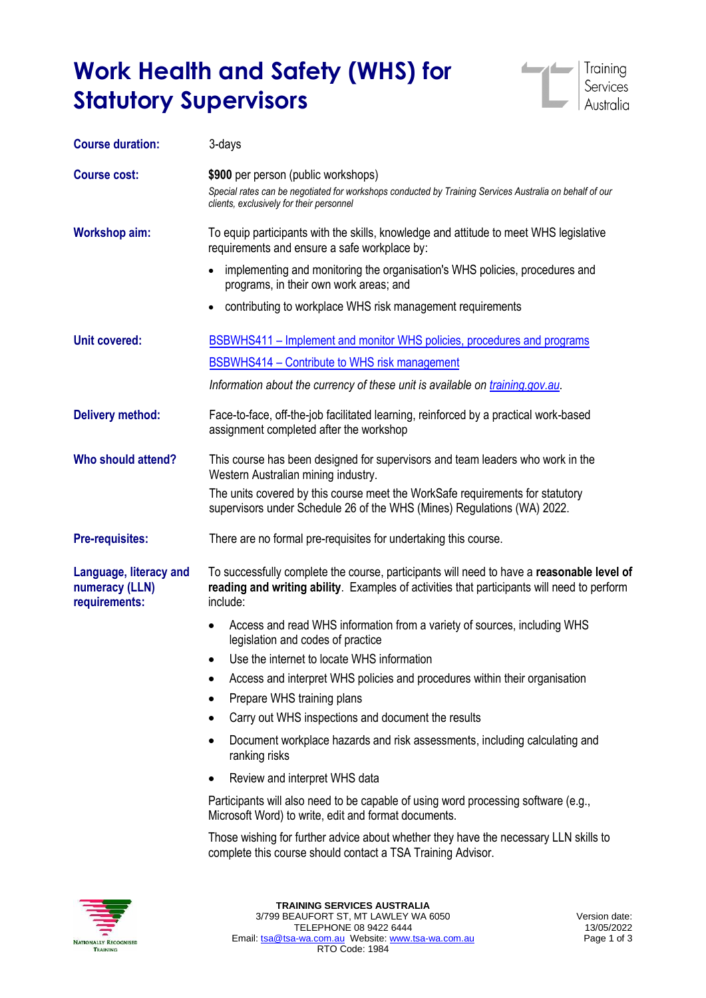# **Work Health and Safety (WHS) for Statutory Supervisors**



| <b>Course duration:</b>                                   | 3-days                                                                                                                                                                                              |
|-----------------------------------------------------------|-----------------------------------------------------------------------------------------------------------------------------------------------------------------------------------------------------|
| <b>Course cost:</b>                                       | \$900 per person (public workshops)<br>Special rates can be negotiated for workshops conducted by Training Services Australia on behalf of our<br>clients, exclusively for their personnel          |
| <b>Workshop aim:</b>                                      | To equip participants with the skills, knowledge and attitude to meet WHS legislative<br>requirements and ensure a safe workplace by:                                                               |
|                                                           | implementing and monitoring the organisation's WHS policies, procedures and<br>$\bullet$<br>programs, in their own work areas; and                                                                  |
|                                                           | contributing to workplace WHS risk management requirements<br>٠                                                                                                                                     |
| <b>Unit covered:</b>                                      | BSBWHS411 – Implement and monitor WHS policies, procedures and programs                                                                                                                             |
|                                                           | BSBWHS414 - Contribute to WHS risk management                                                                                                                                                       |
|                                                           | Information about the currency of these unit is available on training.gov.au.                                                                                                                       |
| <b>Delivery method:</b>                                   | Face-to-face, off-the-job facilitated learning, reinforced by a practical work-based<br>assignment completed after the workshop                                                                     |
| Who should attend?                                        | This course has been designed for supervisors and team leaders who work in the<br>Western Australian mining industry.                                                                               |
|                                                           | The units covered by this course meet the WorkSafe requirements for statutory<br>supervisors under Schedule 26 of the WHS (Mines) Regulations (WA) 2022.                                            |
| <b>Pre-requisites:</b>                                    | There are no formal pre-requisites for undertaking this course.                                                                                                                                     |
| Language, literacy and<br>numeracy (LLN)<br>requirements: | To successfully complete the course, participants will need to have a reasonable level of<br>reading and writing ability. Examples of activities that participants will need to perform<br>include: |
|                                                           | Access and read WHS information from a variety of sources, including WHS<br>$\bullet$<br>legislation and codes of practice                                                                          |
|                                                           | Use the internet to locate WHS information<br>$\bullet$                                                                                                                                             |
|                                                           | Access and interpret WHS policies and procedures within their organisation<br>$\bullet$                                                                                                             |
|                                                           | Prepare WHS training plans                                                                                                                                                                          |
|                                                           | Carry out WHS inspections and document the results                                                                                                                                                  |
|                                                           | Document workplace hazards and risk assessments, including calculating and<br>$\bullet$<br>ranking risks                                                                                            |
|                                                           | Review and interpret WHS data                                                                                                                                                                       |
|                                                           | Participants will also need to be capable of using word processing software (e.g.,<br>Microsoft Word) to write, edit and format documents.                                                          |
|                                                           | Those wishing for further advice about whether they have the necessary LLN skills to<br>complete this course should contact a TSA Training Advisor.                                                 |
|                                                           |                                                                                                                                                                                                     |

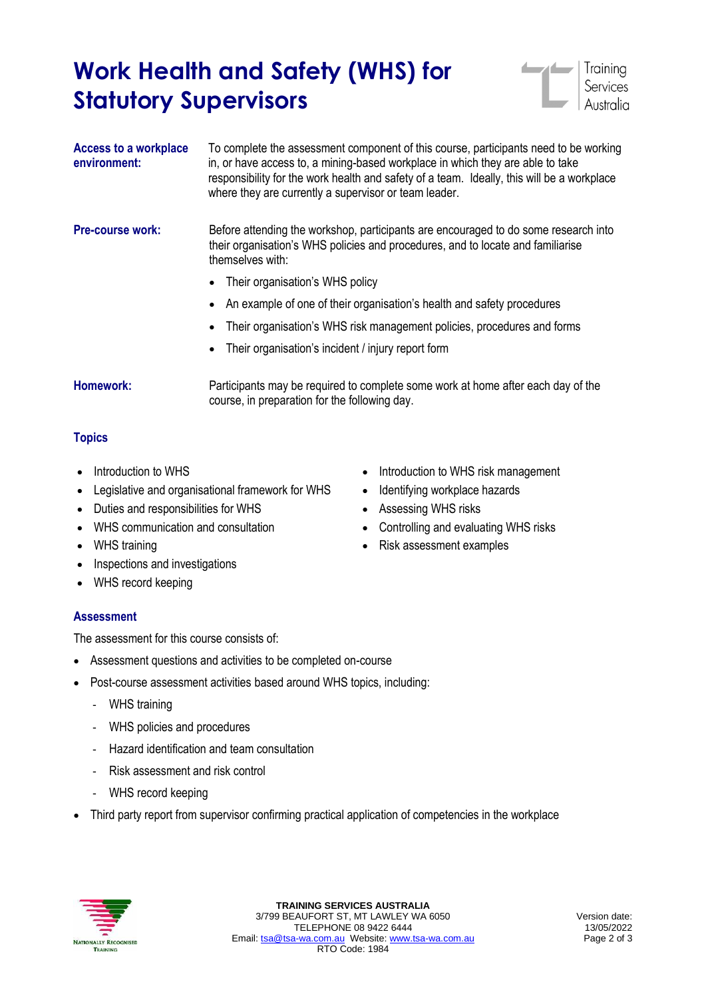## **Work Health and Safety (WHS) for Statutory Supervisors**



| <b>Access to a workplace</b><br>environment: | To complete the assessment component of this course, participants need to be working<br>in, or have access to, a mining-based workplace in which they are able to take<br>responsibility for the work health and safety of a team. Ideally, this will be a workplace<br>where they are currently a supervisor or team leader. |
|----------------------------------------------|-------------------------------------------------------------------------------------------------------------------------------------------------------------------------------------------------------------------------------------------------------------------------------------------------------------------------------|
| <b>Pre-course work:</b>                      | Before attending the workshop, participants are encouraged to do some research into<br>their organisation's WHS policies and procedures, and to locate and familiarise<br>themselves with:                                                                                                                                    |
|                                              | Their organisation's WHS policy                                                                                                                                                                                                                                                                                               |
|                                              | An example of one of their organisation's health and safety procedures                                                                                                                                                                                                                                                        |
|                                              | Their organisation's WHS risk management policies, procedures and forms                                                                                                                                                                                                                                                       |
|                                              | Their organisation's incident / injury report form                                                                                                                                                                                                                                                                            |

**Homework:** Participants may be required to complete some work at home after each day of the course, in preparation for the following day.

### **Topics**

- Introduction to WHS
- Legislative and organisational framework for WHS
- Duties and responsibilities for WHS
- WHS communication and consultation
- WHS training
- Inspections and investigations
- WHS record keeping

### **Assessment**

The assessment for this course consists of:

- Assessment questions and activities to be completed on-course
- Post-course assessment activities based around WHS topics, including:
	- WHS training
	- WHS policies and procedures
	- Hazard identification and team consultation
	- Risk assessment and risk control
	- WHS record keeping
- Third party report from supervisor confirming practical application of competencies in the workplace



- Introduction to WHS risk management
- Identifying workplace hazards
- Assessing WHS risks
- Controlling and evaluating WHS risks
- Risk assessment examples